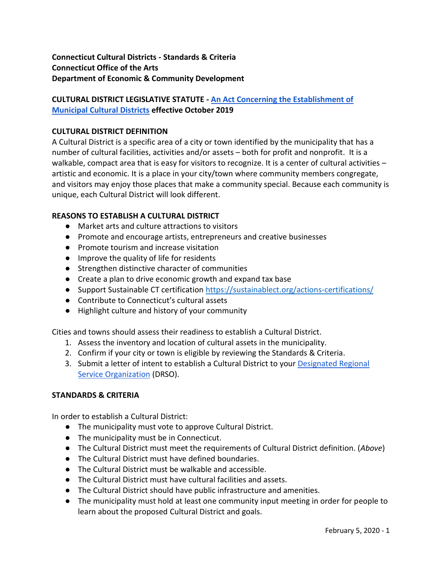**Connecticut Cultural Districts - Standards & Criteria Connecticut Office of the Arts Department of Economic & Community Development**

# **CULTURAL DISTRICT LEGISLATIVE STATUTE - [An Act Concerning the Establishment of](https://www.cga.ct.gov/2019/ACT/pa/pdf/2019PA-00143-R00HB-06939-PA.pdf)  [Municipal Cultural Districts](https://www.cga.ct.gov/2019/ACT/pa/pdf/2019PA-00143-R00HB-06939-PA.pdf) effective October 2019**

#### **CULTURAL DISTRICT DEFINITION**

A Cultural District is a specific area of a city or town identified by the municipality that has a number of cultural facilities, activities and/or assets – both for profit and nonprofit. It is a walkable, compact area that is easy for visitors to recognize. It is a center of cultural activities artistic and economic. It is a place in your city/town where community members congregate, and visitors may enjoy those places that make a community special. Because each community is unique, each Cultural District will look different.

## **REASONS TO ESTABLISH A CULTURAL DISTRICT**

- Market arts and culture attractions to visitors
- Promote and encourage artists, entrepreneurs and creative businesses
- Promote tourism and increase visitation
- Improve the quality of life for residents
- Strengthen distinctive character of communities
- Create a plan to drive economic growth and expand tax base
- Support Sustainable CT certification<https://sustainablect.org/actions-certifications/>
- Contribute to Connecticut's cultural assets
- Highlight culture and history of your community

Cities and towns should assess their readiness to establish a Cultural District.

- 1. Assess the inventory and location of cultural assets in the municipality.
- 2. Confirm if your city or town is eligible by reviewing the Standards & Criteria.
- 3. Submit a letter of intent to establish a Cultural District to your Designated Regional [Service Organization](https://portal.ct.gov/DECD/Content/Arts-Culture/Our-Regional-Partners/Designated-Regional-Service-Organizations) (DRSO).

#### **STANDARDS & CRITERIA**

In order to establish a Cultural District:

- The municipality must vote to approve Cultural District.
- The municipality must be in Connecticut.
- The Cultural District must meet the requirements of Cultural District definition. (*Above*)
- The Cultural District must have defined boundaries.
- The Cultural District must be walkable and accessible.
- The Cultural District must have cultural facilities and assets.
- The Cultural District should have public infrastructure and amenities.
- The municipality must hold at least one community input meeting in order for people to learn about the proposed Cultural District and goals.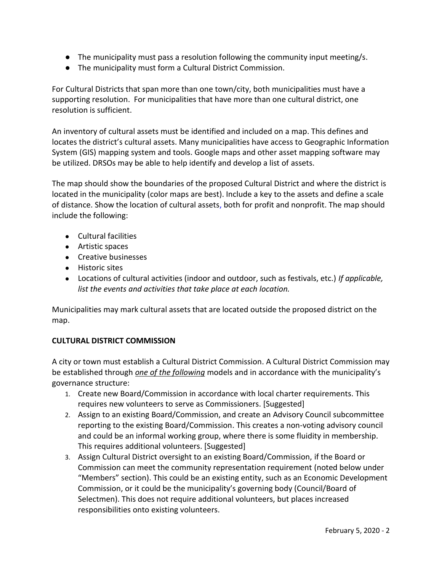- The municipality must pass a resolution following the community input meeting/s.
- The municipality must form a Cultural District Commission.

For Cultural Districts that span more than one town/city, both municipalities must have a supporting resolution. For municipalities that have more than one cultural district, one resolution is sufficient.

An inventory of cultural assets must be identified and included on a map. This defines and locates the district's cultural assets. Many municipalities have access to Geographic Information System (GIS) mapping system and tools. Google maps and other asset mapping software may be utilized. DRSOs may be able to help identify and develop a list of assets.

The map should show the boundaries of the proposed Cultural District and where the district is located in the municipality (color maps are best). Include a key to the assets and define a scale of distance. Show the location of cultural assets, both for profit and nonprofit. The map should include the following:

- Cultural facilities
- Artistic spaces
- Creative businesses
- Historic sites
- Locations of cultural activities (indoor and outdoor, such as festivals, etc.) *If applicable, list the events and activities that take place at each location.*

Municipalities may mark cultural assets that are located outside the proposed district on the map.

## **CULTURAL DISTRICT COMMISSION**

A city or town must establish a Cultural District Commission. A Cultural District Commission may be established through *one of the following* models and in accordance with the municipality's governance structure:

- 1. Create new Board/Commission in accordance with local charter requirements. This requires new volunteers to serve as Commissioners. [Suggested]
- 2. Assign to an existing Board/Commission, and create an Advisory Council subcommittee reporting to the existing Board/Commission. This creates a non-voting advisory council and could be an informal working group, where there is some fluidity in membership. This requires additional volunteers. [Suggested]
- 3. Assign Cultural District oversight to an existing Board/Commission, if the Board or Commission can meet the community representation requirement (noted below under "Members" section). This could be an existing entity, such as an Economic Development Commission, or it could be the municipality's governing body (Council/Board of Selectmen). This does not require additional volunteers, but places increased responsibilities onto existing volunteers.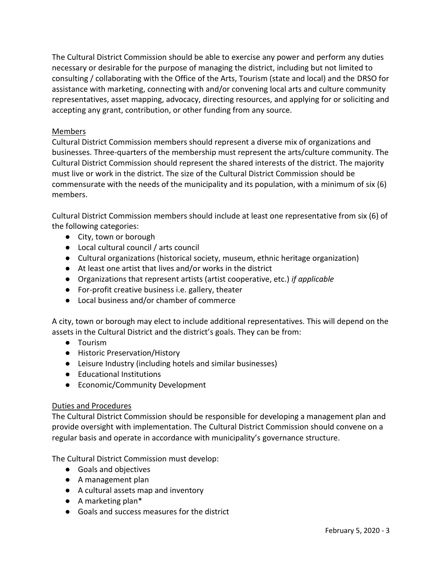The Cultural District Commission should be able to exercise any power and perform any duties necessary or desirable for the purpose of managing the district, including but not limited to consulting / collaborating with the Office of the Arts, Tourism (state and local) and the DRSO for assistance with marketing, connecting with and/or convening local arts and culture community representatives, asset mapping, advocacy, directing resources, and applying for or soliciting and accepting any grant, contribution, or other funding from any source.

### Members

Cultural District Commission members should represent a diverse mix of organizations and businesses. Three-quarters of the membership must represent the arts/culture community. The Cultural District Commission should represent the shared interests of the district. The majority must live or work in the district. The size of the Cultural District Commission should be commensurate with the needs of the municipality and its population, with a minimum of six (6) members.

Cultural District Commission members should include at least one representative from six (6) of the following categories:

- City, town or borough
- Local cultural council / arts council
- Cultural organizations (historical society, museum, ethnic heritage organization)
- At least one artist that lives and/or works in the district
- Organizations that represent artists (artist cooperative, etc.) *if applicable*
- For-profit creative business i.e. gallery, theater
- Local business and/or chamber of commerce

A city, town or borough may elect to include additional representatives. This will depend on the assets in the Cultural District and the district's goals. They can be from:

- Tourism
- Historic Preservation/History
- Leisure Industry (including hotels and similar businesses)
- Educational Institutions
- Economic/Community Development

#### Duties and Procedures

The Cultural District Commission should be responsible for developing a management plan and provide oversight with implementation. The Cultural District Commission should convene on a regular basis and operate in accordance with municipality's governance structure.

The Cultural District Commission must develop:

- Goals and objectives
- A management plan
- A cultural assets map and inventory
- A marketing plan\*
- Goals and success measures for the district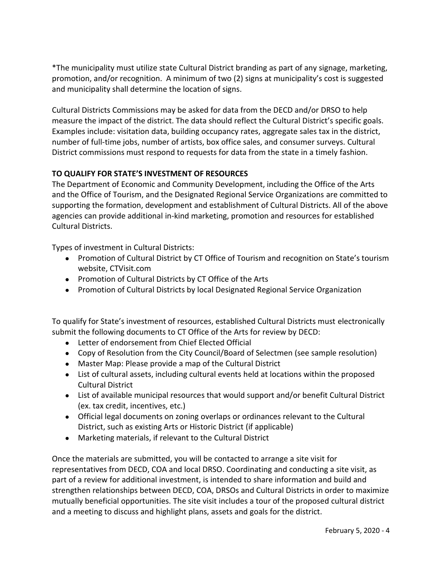\*The municipality must utilize state Cultural District branding as part of any signage, marketing, promotion, and/or recognition. A minimum of two (2) signs at municipality's cost is suggested and municipality shall determine the location of signs.

Cultural Districts Commissions may be asked for data from the DECD and/or DRSO to help measure the impact of the district. The data should reflect the Cultural District's specific goals. Examples include: visitation data, building occupancy rates, aggregate sales tax in the district, number of full-time jobs, number of artists, box office sales, and consumer surveys. Cultural District commissions must respond to requests for data from the state in a timely fashion.

# **TO QUALIFY FOR STATE'S INVESTMENT OF RESOURCES**

The Department of Economic and Community Development, including the Office of the Arts and the Office of Tourism, and the Designated Regional Service Organizations are committed to supporting the formation, development and establishment of Cultural Districts. All of the above agencies can provide additional in-kind marketing, promotion and resources for established Cultural Districts.

Types of investment in Cultural Districts:

- Promotion of Cultural District by CT Office of Tourism and recognition on State's tourism website, CTVisit.com
- Promotion of Cultural Districts by CT Office of the Arts
- Promotion of Cultural Districts by local Designated Regional Service Organization

To qualify for State's investment of resources, established Cultural Districts must electronically submit the following documents to CT Office of the Arts for review by DECD:

- Letter of endorsement from Chief Elected Official
- Copy of Resolution from the City Council/Board of Selectmen (see sample resolution)
- Master Map: Please provide a map of the Cultural District
- List of cultural assets, including cultural events held at locations within the proposed Cultural District
- List of available municipal resources that would support and/or benefit Cultural District (ex. tax credit, incentives, etc.)
- Official legal documents on zoning overlaps or ordinances relevant to the Cultural District, such as existing Arts or Historic District (if applicable)
- Marketing materials, if relevant to the Cultural District

Once the materials are submitted, you will be contacted to arrange a site visit for representatives from DECD, COA and local DRSO. Coordinating and conducting a site visit, as part of a review for additional investment, is intended to share information and build and strengthen relationships between DECD, COA, DRSOs and Cultural Districts in order to maximize mutually beneficial opportunities. The site visit includes a tour of the proposed cultural district and a meeting to discuss and highlight plans, assets and goals for the district.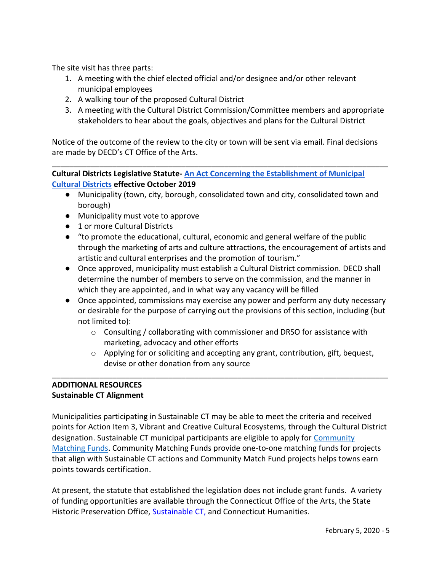The site visit has three parts:

- 1. A meeting with the chief elected official and/or designee and/or other relevant municipal employees
- 2. A walking tour of the proposed Cultural District
- 3. A meeting with the Cultural District Commission/Committee members and appropriate stakeholders to hear about the goals, objectives and plans for the Cultural District

Notice of the outcome of the review to the city or town will be sent via email. Final decisions are made by DECD's CT Office of the Arts.

\_\_\_\_\_\_\_\_\_\_\_\_\_\_\_\_\_\_\_\_\_\_\_\_\_\_\_\_\_\_\_\_\_\_\_\_\_\_\_\_\_\_\_\_\_\_\_\_\_\_\_\_\_\_\_\_\_\_\_\_\_\_\_\_\_\_\_\_\_\_\_\_\_\_\_\_\_\_

**Cultural Districts Legislative Statute- [An Act Concerning the Establishment of Municipal](https://www.cga.ct.gov/2019/ACT/pa/pdf/2019PA-00143-R00HB-06939-PA.pdf)  [Cultural Districts](https://www.cga.ct.gov/2019/ACT/pa/pdf/2019PA-00143-R00HB-06939-PA.pdf) effective October 2019**

- Municipality (town, city, borough, consolidated town and city, consolidated town and borough)
- Municipality must vote to approve
- 1 or more Cultural Districts
- "to promote the educational, cultural, economic and general welfare of the public through the marketing of arts and culture attractions, the encouragement of artists and artistic and cultural enterprises and the promotion of tourism."
- Once approved, municipality must establish a Cultural District commission. DECD shall determine the number of members to serve on the commission, and the manner in which they are appointed, and in what way any vacancy will be filled
- Once appointed, commissions may exercise any power and perform any duty necessary or desirable for the purpose of carrying out the provisions of this section, including (but not limited to):
	- $\circ$  Consulting / collaborating with commissioner and DRSO for assistance with marketing, advocacy and other efforts
	- o Applying for or soliciting and accepting any grant, contribution, gift, bequest, devise or other donation from any source

#### **ADDITIONAL RESOURCES Sustainable CT Alignment**

Municipalities participating in Sustainable CT may be able to meet the criteria and received points for Action Item 3, Vibrant and Creative Cultural Ecosystems, through the Cultural District designation. Sustainable CT municipal participants are eligible to apply for [Community](https://sustainablect.org/funding/)  [Matching Funds.](https://sustainablect.org/funding/) Community Matching Funds provide one-to-one matching funds for projects that align with Sustainable CT actions and Community Match Fund projects helps towns earn points towards certification.

\_\_\_\_\_\_\_\_\_\_\_\_\_\_\_\_\_\_\_\_\_\_\_\_\_\_\_\_\_\_\_\_\_\_\_\_\_\_\_\_\_\_\_\_\_\_\_\_\_\_\_\_\_\_\_\_\_\_\_\_\_\_\_\_\_\_\_\_\_\_\_\_\_\_\_\_\_\_

At present, the statute that established the legislation does not include grant funds. A variety of funding opportunities are available through the Connecticut Office of the Arts, the State Historic Preservation Office, Sustainable CT, and Connecticut Humanities.